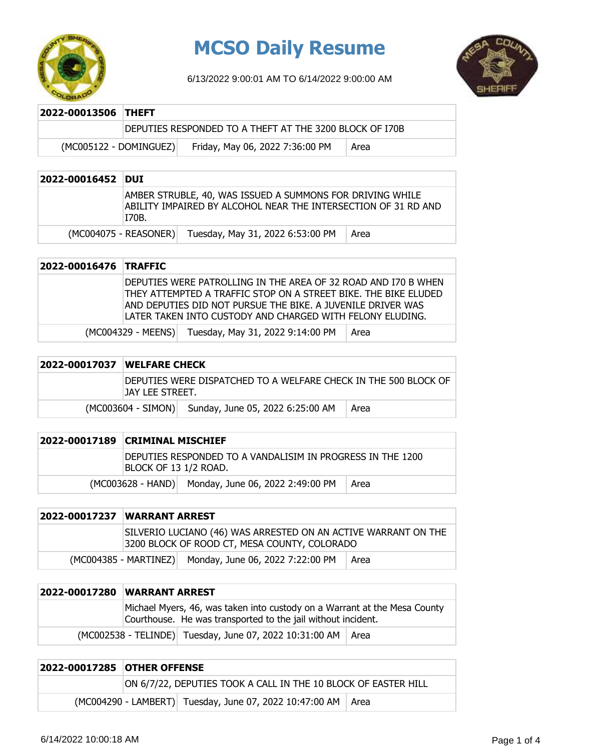

### **MCSO Daily Resume**

6/13/2022 9:00:01 AM TO 6/14/2022 9:00:00 AM



| 2022-00013506 THEFT    |                                                         |      |
|------------------------|---------------------------------------------------------|------|
|                        | DEPUTIES RESPONDED TO A THEFT AT THE 3200 BLOCK OF I70B |      |
| (MC005122 - DOMINGUEZ) | Friday, May 06, 2022 7:36:00 PM                         | Area |

| 2022-00016452 DUI |                                                                                                                                      |      |
|-------------------|--------------------------------------------------------------------------------------------------------------------------------------|------|
|                   | AMBER STRUBLE, 40, WAS ISSUED A SUMMONS FOR DRIVING WHILE<br>ABILITY IMPAIRED BY ALCOHOL NEAR THE INTERSECTION OF 31 RD AND<br>170B. |      |
|                   | Tuesday, May 31, 2022 6:53:00 PM<br>(MC004075 - REASONER)                                                                            | Area |

| 2022-00016476 TRAFFIC |                                                                                                                                                                                                  |      |
|-----------------------|--------------------------------------------------------------------------------------------------------------------------------------------------------------------------------------------------|------|
|                       | DEPUTIES WERE PATROLLING IN THE AREA OF 32 ROAD AND I70 B WHEN<br>THEY ATTEMPTED A TRAFFIC STOP ON A STREET BIKE. THE BIKE ELUDED<br>AND DEPUTIES DID NOT PURSUE THE BIKE. A JUVENILE DRIVER WAS |      |
|                       | LATER TAKEN INTO CUSTODY AND CHARGED WITH FELONY ELUDING.                                                                                                                                        |      |
|                       | (MC004329 - MEENS) Tuesday, May 31, 2022 9:14:00 PM                                                                                                                                              | Area |

| 2022-00017037 | <b>IWELFARE CHECK</b>                                                                |                                  |      |
|---------------|--------------------------------------------------------------------------------------|----------------------------------|------|
|               | IDEPUTIES WERE DISPATCHED TO A WELFARE CHECK IN THE 500 BLOCK OF<br>IJAY LEE STREET. |                                  |      |
|               | $(MCO03604 - SIMON)$                                                                 | Sunday, June 05, 2022 6:25:00 AM | Area |

| 2022-00017189 CRIMINAL MISCHIEF                                                     |                                                    |      |
|-------------------------------------------------------------------------------------|----------------------------------------------------|------|
| Deputies responded to a vandalisim in progress in the 1200<br>BLOCK OF 13 1/2 ROAD. |                                                    |      |
|                                                                                     | (MC003628 - HAND) Monday, June 06, 2022 2:49:00 PM | Area |

| <b>2022-00017237 WARRANT ARREST</b> |                                                                                                                |      |
|-------------------------------------|----------------------------------------------------------------------------------------------------------------|------|
|                                     | SILVERIO LUCIANO (46) WAS ARRESTED ON AN ACTIVE WARRANT ON THE<br>3200 BLOCK OF ROOD CT, MESA COUNTY, COLORADO |      |
|                                     | (MC004385 - MARTINEZ) Monday, June 06, 2022 7:22:00 PM                                                         | Area |

| <b>2022-00017280 WARRANT ARREST</b>                                                                                                       |                                                                |  |
|-------------------------------------------------------------------------------------------------------------------------------------------|----------------------------------------------------------------|--|
| Michael Myers, 46, was taken into custody on a Warrant at the Mesa County<br>Courthouse. He was transported to the jail without incident. |                                                                |  |
|                                                                                                                                           | (MC002538 - TELINDE) Tuesday, June 07, 2022 10:31:00 AM   Area |  |

| <b>2022-00017285 OTHER OFFENSE</b> |                                                                |                                                                |  |
|------------------------------------|----------------------------------------------------------------|----------------------------------------------------------------|--|
|                                    | ON 6/7/22, DEPUTIES TOOK A CALL IN THE 10 BLOCK OF EASTER HILL |                                                                |  |
|                                    |                                                                | (MC004290 - LAMBERT) Tuesday, June 07, 2022 10:47:00 AM   Area |  |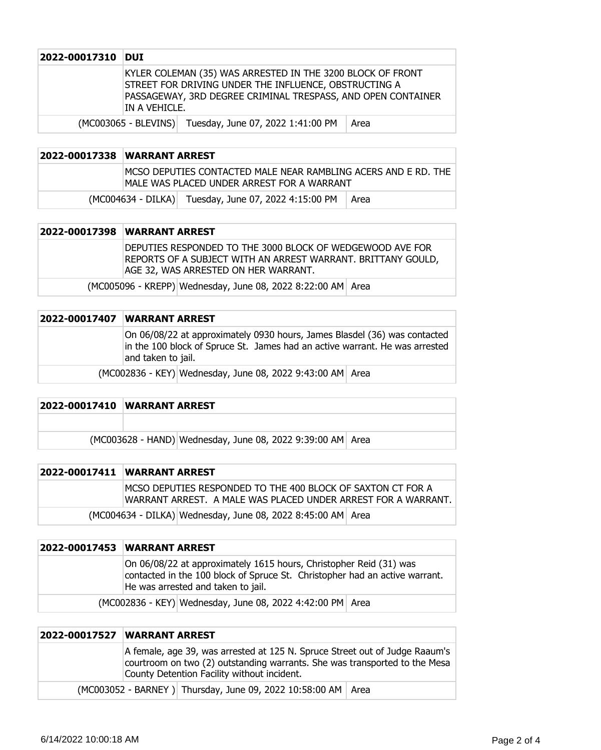| 2022-00017310 | <b>DUI</b>    |                                                                                                                                                                                     |      |
|---------------|---------------|-------------------------------------------------------------------------------------------------------------------------------------------------------------------------------------|------|
|               | IN A VEHICLE. | KYLER COLEMAN (35) WAS ARRESTED IN THE 3200 BLOCK OF FRONT<br>STREET FOR DRIVING UNDER THE INFLUENCE, OBSTRUCTING A<br>PASSAGEWAY, 3RD DEGREE CRIMINAL TRESPASS, AND OPEN CONTAINER |      |
|               |               | (MC003065 - BLEVINS) Tuesday, June 07, 2022 1:41:00 PM                                                                                                                              | Area |

| 2022-00017338 WARRANT ARREST |                                                                                                                |      |
|------------------------------|----------------------------------------------------------------------------------------------------------------|------|
|                              | IMCSO DEPUTIES CONTACTED MALE NEAR RAMBLING ACERS AND E RD. THE<br>IMALE WAS PLACED UNDER ARREST FOR A WARRANT |      |
|                              | (MC004634 - DILKA) Tuesday, June 07, 2022 4:15:00 PM                                                           | Area |

|  | 2022-00017398 WARRANT ARREST                                                                                                                                      |
|--|-------------------------------------------------------------------------------------------------------------------------------------------------------------------|
|  | DEPUTIES RESPONDED TO THE 3000 BLOCK OF WEDGEWOOD AVE FOR<br>REPORTS OF A SUBJECT WITH AN ARREST WARRANT. BRITTANY GOULD,<br>AGE 32, WAS ARRESTED ON HER WARRANT. |
|  | (MC005096 - KREPP) Wednesday, June 08, 2022 8:22:00 AM Area                                                                                                       |

| 2022-00017407  WARRANT ARREST                                                                                                                                                  |
|--------------------------------------------------------------------------------------------------------------------------------------------------------------------------------|
| On 06/08/22 at approximately 0930 hours, James Blasdel (36) was contacted<br>in the 100 block of Spruce St. James had an active warrant. He was arrested<br>and taken to jail. |
| (MC002836 - KEY) Wednesday, June 08, 2022 9:43:00 AM Area                                                                                                                      |

| <b>2022-00017410 WARRANT ARREST</b>                        |
|------------------------------------------------------------|
|                                                            |
| (MC003628 - HAND) Wednesday, June 08, 2022 9:39:00 AM Area |

| 2022-00017411 WARRANT ARREST                                                                                                  |
|-------------------------------------------------------------------------------------------------------------------------------|
| IMCSO DEPUTIES RESPONDED TO THE 400 BLOCK OF SAXTON CT FOR A<br>WARRANT ARREST. A MALE WAS PLACED UNDER ARREST FOR A WARRANT. |
| (MC004634 - DILKA) Wednesday, June 08, 2022 8:45:00 AM Area                                                                   |

| 2022-00017453 WARRANT ARREST                                                                                                                                                            |  |  |
|-----------------------------------------------------------------------------------------------------------------------------------------------------------------------------------------|--|--|
| On 06/08/22 at approximately 1615 hours, Christopher Reid (31) was<br>contacted in the 100 block of Spruce St. Christopher had an active warrant.<br>He was arrested and taken to jail. |  |  |
| (MC002836 - KEY) Wednesday, June 08, 2022 4:42:00 PM Area                                                                                                                               |  |  |

| 2022-00017527   WARRANT ARREST                                                                                                                                                                           |  |
|----------------------------------------------------------------------------------------------------------------------------------------------------------------------------------------------------------|--|
| A female, age 39, was arrested at 125 N. Spruce Street out of Judge Raaum's<br>courtroom on two (2) outstanding warrants. She was transported to the Mesa<br>County Detention Facility without incident. |  |
| (MC003052 - BARNEY) Thursday, June 09, 2022 10:58:00 AM   Area                                                                                                                                           |  |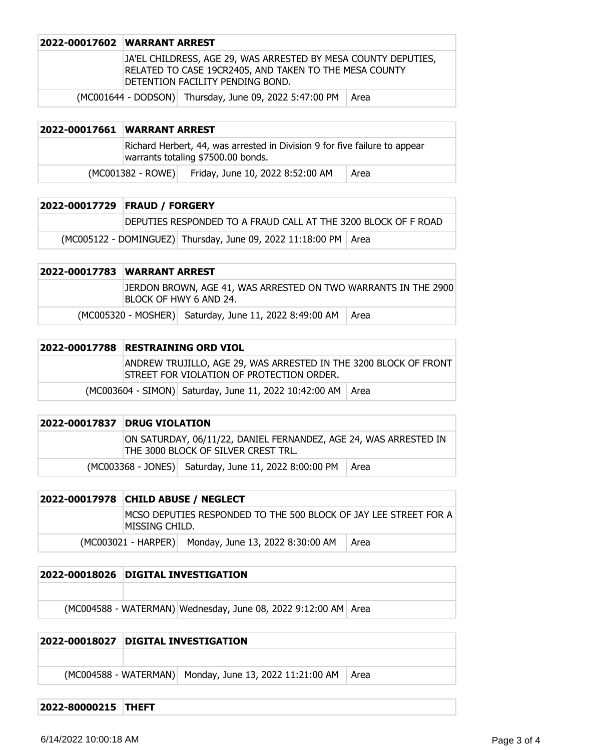| 2022-00017602 WARRANT ARREST                                                                                                                                 |  |
|--------------------------------------------------------------------------------------------------------------------------------------------------------------|--|
| JA'EL CHILDRESS, AGE 29, WAS ARRESTED BY MESA COUNTY DEPUTIES,<br>RELATED TO CASE 19CR2405, AND TAKEN TO THE MESA COUNTY<br>DETENTION FACILITY PENDING BOND. |  |
| (MC001644 - DODSON) Thursday, June 09, 2022 5:47:00 PM   Area                                                                                                |  |

| 2022-00017661 | <b>WARRANT ARREST</b>                                                                                            |                                  |      |
|---------------|------------------------------------------------------------------------------------------------------------------|----------------------------------|------|
|               | Richard Herbert, 44, was arrested in Division 9 for five failure to appear<br>warrants totaling \$7500.00 bonds. |                                  |      |
|               | (MC001382 - ROWE)                                                                                                | Friday, June 10, 2022 8:52:00 AM | Area |

| 2022-00017729 FRAUD / FORGERY |                                                                   |  |
|-------------------------------|-------------------------------------------------------------------|--|
|                               | DEPUTIES RESPONDED TO A FRAUD CALL AT THE 3200 BLOCK OF F ROAD    |  |
|                               | (MC005122 - DOMINGUEZ) Thursday, June 09, 2022 11:18:00 PM   Area |  |

| <b>2022-00017783 WARRANT ARREST</b> |                                                                                          |      |
|-------------------------------------|------------------------------------------------------------------------------------------|------|
|                                     | DERDON BROWN, AGE 41, WAS ARRESTED ON TWO WARRANTS IN THE 2900<br>BLOCK OF HWY 6 AND 24. |      |
|                                     | (MC005320 - MOSHER) Saturday, June 11, 2022 8:49:00 AM                                   | Area |

| 2022-00017788 RESTRAINING ORD VIOL                                                                            |  |  |
|---------------------------------------------------------------------------------------------------------------|--|--|
| ANDREW TRUJILLO, AGE 29, WAS ARRESTED IN THE 3200 BLOCK OF FRONT<br>STREET FOR VIOLATION OF PROTECTION ORDER. |  |  |
| (MC003604 - SIMON) Saturday, June 11, 2022 10:42:00 AM   Area                                                 |  |  |

| <b>2022-00017837 DRUG VIOLATION</b>                                                                     |                                                              |  |
|---------------------------------------------------------------------------------------------------------|--------------------------------------------------------------|--|
| ON SATURDAY, 06/11/22, DANIEL FERNANDEZ, AGE 24, WAS ARRESTED IN<br>THE 3000 BLOCK OF SILVER CREST TRL. |                                                              |  |
|                                                                                                         | (MC003368 - JONES) Saturday, June 11, 2022 8:00:00 PM   Area |  |

| 2022-00017978 CHILD ABUSE / NEGLECT |                                                                   |      |
|-------------------------------------|-------------------------------------------------------------------|------|
| MISSING CHILD.                      | IMCSO DEPUTIES RESPONDED TO THE 500 BLOCK OF JAY LEE STREET FOR A |      |
|                                     | (MC003021 - HARPER) Monday, June 13, 2022 8:30:00 AM              | Area |

| 2022-00018026 DIGITAL INVESTIGATION                            |
|----------------------------------------------------------------|
|                                                                |
| (MC004588 - WATERMAN) Wednesday, June 08, 2022 9:12:00 AM Area |

### **2022-00018027 DIGITAL INVESTIGATION**  $(MCOO4588 - WATERMAN)$  Monday, June 13, 2022 11:21:00 AM Area

#### **2022-80000215 THEFT**